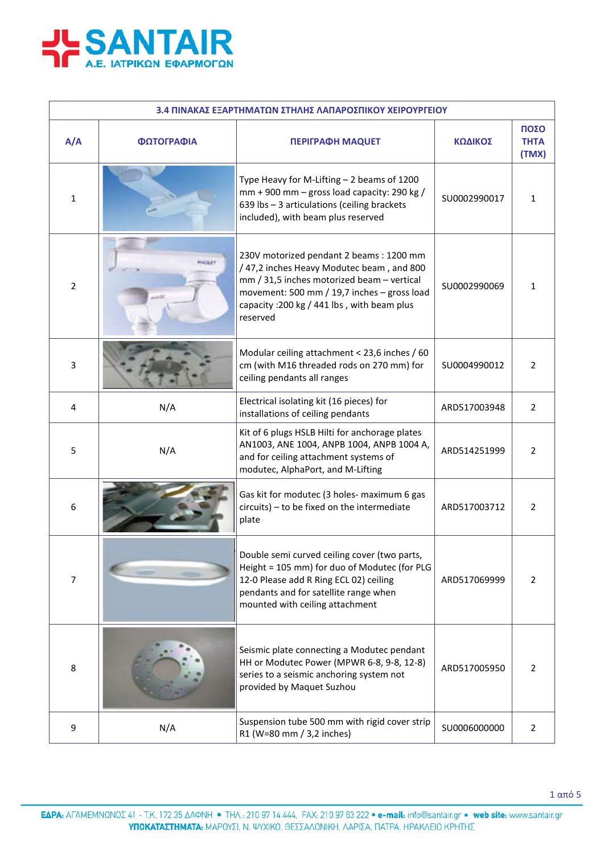

| 3.4 ΠΙΝΑΚΑΣ ΕΞΑΡΤΗΜΑΤΩΝ ΣΤΗΛΗΣ ΛΑΠΑΡΟΣΠΙΚΟΥ ΧΕΙΡΟΥΡΓΕΙΟΥ |                                   |                                                                                                                                                                                                                                             |              |                              |
|----------------------------------------------------------|-----------------------------------|---------------------------------------------------------------------------------------------------------------------------------------------------------------------------------------------------------------------------------------------|--------------|------------------------------|
| A/A                                                      | ΦΩΤΟΓΡΑΦΙΑ                        | <b>ΠΕΡΙΓΡΑΦΗ ΜΑQUET</b>                                                                                                                                                                                                                     | ΚΩΔΙΚΟΣ      | ΠΟΣΟ<br><b>THTA</b><br>(TMX) |
| $\mathbf{1}$                                             |                                   | Type Heavy for M-Lifting $-2$ beams of 1200<br>$mm + 900$ mm - gross load capacity: 290 kg /<br>639 lbs - 3 articulations (ceiling brackets<br>included), with beam plus reserved                                                           | SU0002990017 | 1                            |
| $\overline{2}$                                           | <b><i>EACKIT</i></b>              | 230V motorized pendant 2 beams: 1200 mm<br>/47,2 inches Heavy Modutec beam, and 800<br>mm / 31,5 inches motorized beam - vertical<br>movement: 500 mm / 19,7 inches - gross load<br>capacity : 200 kg / 441 lbs, with beam plus<br>reserved | SU0002990069 | $\mathbf{1}$                 |
| 3                                                        |                                   | Modular ceiling attachment < 23,6 inches / 60<br>cm (with M16 threaded rods on 270 mm) for<br>ceiling pendants all ranges                                                                                                                   | SU0004990012 | $\overline{2}$               |
| 4                                                        | N/A                               | Electrical isolating kit (16 pieces) for<br>installations of ceiling pendants                                                                                                                                                               | ARD517003948 | $\overline{2}$               |
| 5                                                        | N/A                               | Kit of 6 plugs HSLB Hilti for anchorage plates<br>AN1003, ANE 1004, ANPB 1004, ANPB 1004 A,<br>and for ceiling attachment systems of<br>modutec, AlphaPort, and M-Lifting                                                                   | ARD514251999 | $\overline{2}$               |
| 6                                                        |                                   | Gas kit for modutec (3 holes- maximum 6 gas<br>circuits) - to be fixed on the intermediate<br>plate                                                                                                                                         | ARD517003712 | 2                            |
| $\overline{7}$                                           | <b>Contract Contract Contract</b> | Double semi curved ceiling cover (two parts,<br>Height = 105 mm) for duo of Modutec (for PLG<br>12-0 Please add R Ring ECL 02) ceiling<br>pendants and for satellite range when<br>mounted with ceiling attachment                          | ARD517069999 | $\overline{2}$               |
| 8                                                        |                                   | Seismic plate connecting a Modutec pendant<br>HH or Modutec Power (MPWR 6-8, 9-8, 12-8)<br>series to a seismic anchoring system not<br>provided by Maquet Suzhou                                                                            | ARD517005950 | $\overline{2}$               |
| 9                                                        | N/A                               | Suspension tube 500 mm with rigid cover strip<br>R1 (W=80 mm / 3,2 inches)                                                                                                                                                                  | SU0006000000 | $\overline{2}$               |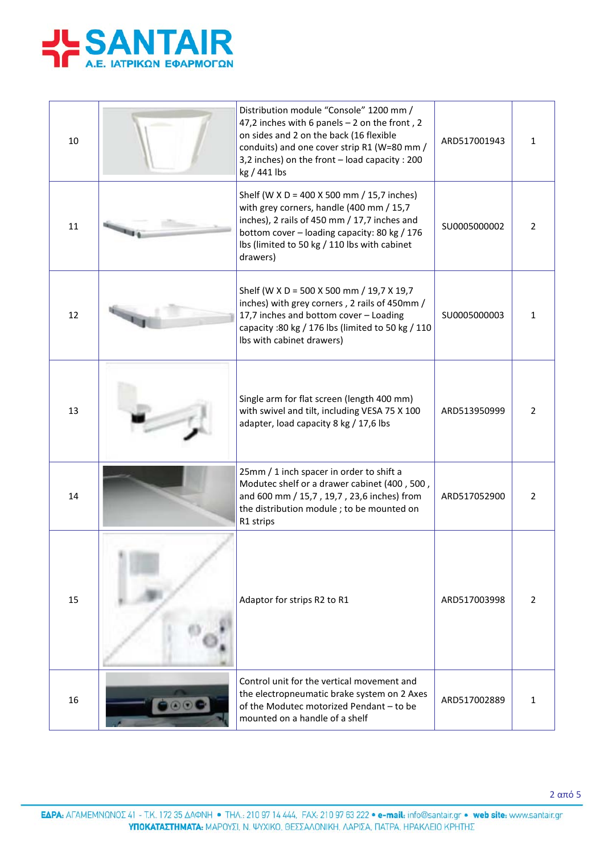

| 10 | Distribution module "Console" 1200 mm /<br>47,2 inches with 6 panels $-$ 2 on the front, 2<br>on sides and 2 on the back (16 flexible<br>conduits) and one cover strip R1 (W=80 mm /<br>3,2 inches) on the front - load capacity : 200<br>kg / 441 lbs | ARD517001943 | 1              |
|----|--------------------------------------------------------------------------------------------------------------------------------------------------------------------------------------------------------------------------------------------------------|--------------|----------------|
| 11 | Shelf (W X D = 400 X 500 mm / 15,7 inches)<br>with grey corners, handle (400 mm / 15,7<br>inches), 2 rails of 450 mm / 17,7 inches and<br>bottom cover - loading capacity: 80 kg / 176<br>lbs (limited to 50 kg / 110 lbs with cabinet<br>drawers)     | SU0005000002 | $\overline{2}$ |
| 12 | Shelf (W X D = 500 X 500 mm / 19,7 X 19,7<br>inches) with grey corners, 2 rails of 450mm /<br>17,7 inches and bottom cover - Loading<br>capacity : 80 kg / 176 lbs (limited to 50 kg / 110<br>Ibs with cabinet drawers)                                | SU0005000003 | 1              |
| 13 | Single arm for flat screen (length 400 mm)<br>with swivel and tilt, including VESA 75 X 100<br>adapter, load capacity 8 kg / 17,6 lbs                                                                                                                  | ARD513950999 | $\overline{2}$ |
| 14 | 25mm / 1 inch spacer in order to shift a<br>Modutec shelf or a drawer cabinet (400, 500,<br>and 600 mm / 15,7, 19,7, 23,6 inches) from<br>the distribution module ; to be mounted on<br>R1 strips                                                      | ARD517052900 | $\overline{2}$ |
| 15 | Adaptor for strips R2 to R1                                                                                                                                                                                                                            | ARD517003998 | $\overline{2}$ |
| 16 | Control unit for the vertical movement and<br>the electropneumatic brake system on 2 Axes<br>of the Modutec motorized Pendant - to be<br>mounted on a handle of a shelf                                                                                | ARD517002889 | 1              |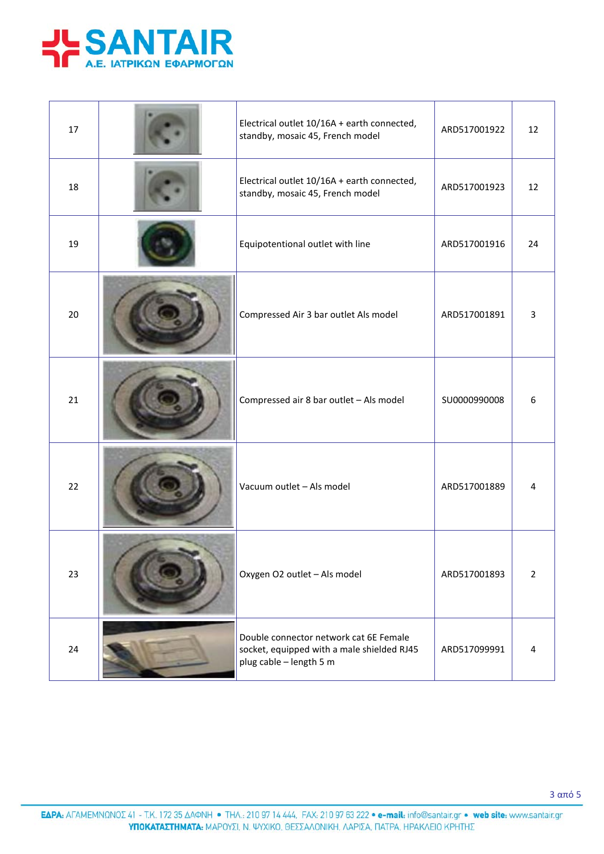

| 17 | Electrical outlet 10/16A + earth connected,<br>standby, mosaic 45, French model                                 | ARD517001922 | 12             |
|----|-----------------------------------------------------------------------------------------------------------------|--------------|----------------|
| 18 | Electrical outlet 10/16A + earth connected,<br>standby, mosaic 45, French model                                 | ARD517001923 | 12             |
| 19 | Equipotentional outlet with line                                                                                | ARD517001916 | 24             |
| 20 | Compressed Air 3 bar outlet Als model                                                                           | ARD517001891 | 3              |
| 21 | Compressed air 8 bar outlet - Als model                                                                         | SU0000990008 | 6              |
| 22 | Vacuum outlet - Als model                                                                                       | ARD517001889 | 4              |
| 23 | Oxygen O2 outlet - Als model                                                                                    | ARD517001893 | $\overline{2}$ |
| 24 | Double connector network cat 6E Female<br>socket, equipped with a male shielded RJ45<br>plug cable - length 5 m | ARD517099991 | 4              |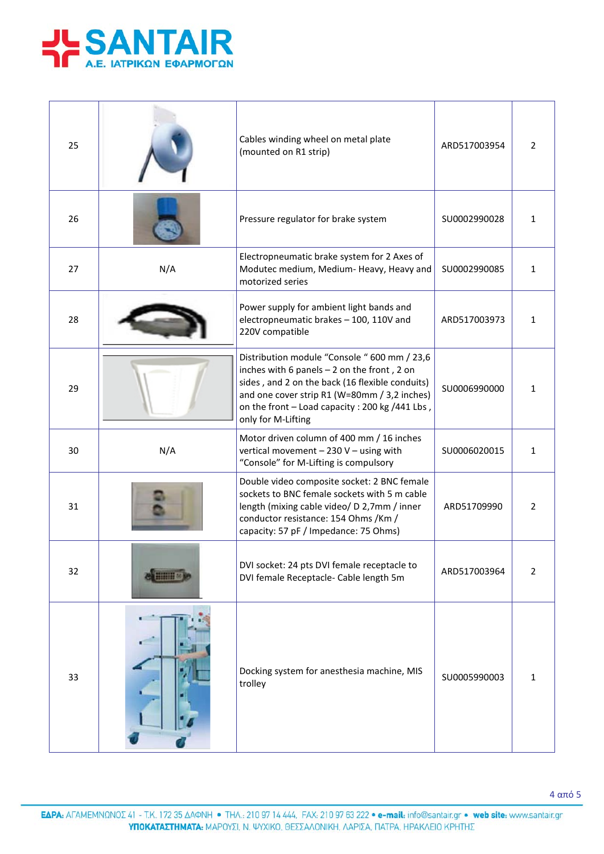

| 25 |     | Cables winding wheel on metal plate<br>(mounted on R1 strip)                                                                                                                                                                                                             | ARD517003954 | 2              |
|----|-----|--------------------------------------------------------------------------------------------------------------------------------------------------------------------------------------------------------------------------------------------------------------------------|--------------|----------------|
| 26 |     | Pressure regulator for brake system                                                                                                                                                                                                                                      | SU0002990028 | $\mathbf{1}$   |
| 27 | N/A | Electropneumatic brake system for 2 Axes of<br>Modutec medium, Medium- Heavy, Heavy and<br>motorized series                                                                                                                                                              | SU0002990085 | 1              |
| 28 |     | Power supply for ambient light bands and<br>electropneumatic brakes - 100, 110V and<br>220V compatible                                                                                                                                                                   | ARD517003973 | $\mathbf{1}$   |
| 29 |     | Distribution module "Console " 600 mm / 23,6<br>inches with 6 panels $-2$ on the front, 2 on<br>sides, and 2 on the back (16 flexible conduits)<br>and one cover strip R1 (W=80mm / 3,2 inches)<br>on the front - Load capacity : 200 kg /441 Lbs,<br>only for M-Lifting | SU0006990000 | 1              |
| 30 | N/A | Motor driven column of 400 mm / 16 inches<br>vertical movement - 230 V - using with<br>"Console" for M-Lifting is compulsory                                                                                                                                             | SU0006020015 | $\mathbf{1}$   |
| 31 |     | Double video composite socket: 2 BNC female<br>sockets to BNC female sockets with 5 m cable<br>length (mixing cable video/ D 2,7mm / inner<br>conductor resistance: 154 Ohms / Km /<br>capacity: 57 pF / Impedance: 75 Ohms)                                             | ARD51709990  | 2              |
| 32 |     | DVI socket: 24 pts DVI female receptacle to<br>DVI female Receptacle- Cable length 5m                                                                                                                                                                                    | ARD517003964 | $\overline{2}$ |
| 33 |     | Docking system for anesthesia machine, MIS<br>trolley                                                                                                                                                                                                                    | SU0005990003 | 1              |